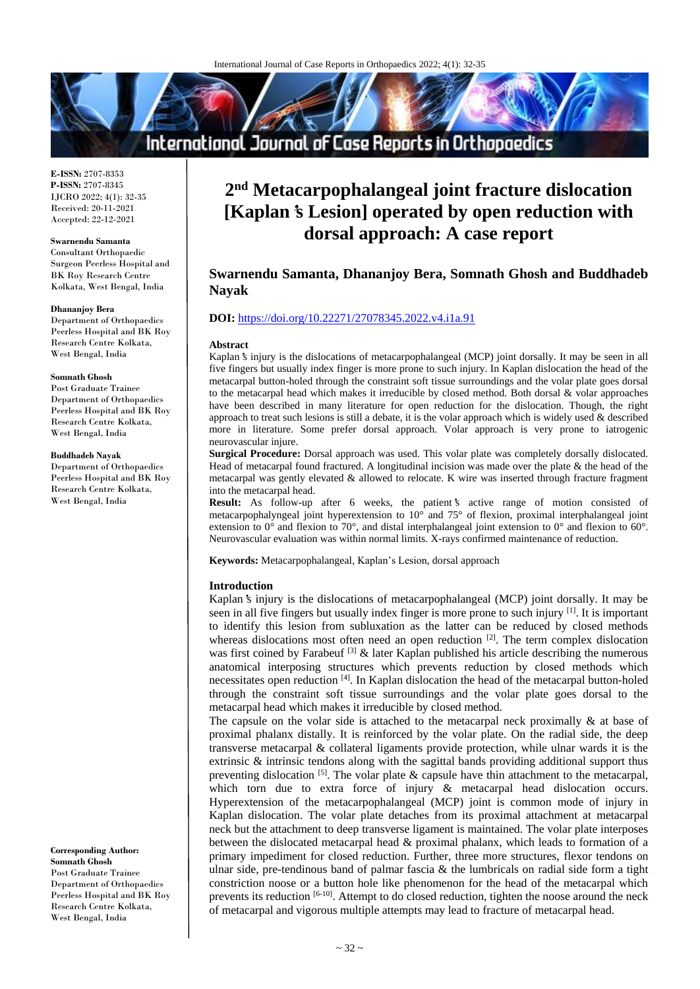# International Journal of Case Reports in Orthopaedics

**E-ISSN:** 2707-8353 **P-ISSN:** 2707-8345 IJCRO 2022; 4(1): 32-35 Received: 20-11-2021 Accepted: 22-12-2021

#### **Swarnendu Samanta**

Consultant Orthopaedic Surgeon Peerless Hospital and BK Roy Research Centre Kolkata, West Bengal, India

#### **Dhananjoy Bera**

Department of Orthopaedics Peerless Hospital and BK Roy Research Centre Kolkata, West Bengal, India

#### **Somnath Ghosh**

Post Graduate Trainee Department of Orthopaedics Peerless Hospital and BK Roy Research Centre Kolkata, West Bengal, India

### **Buddhadeb Nayak**

Department of Orthopaedics Peerless Hospital and BK Roy Research Centre Kolkata, West Bengal, India

**Corresponding Author: Somnath Ghosh** Post Graduate Trainee Department of Orthopaedics Peerless Hospital and BK Roy Research Centre Kolkata, West Bengal, India

# **2 nd Metacarpophalangeal joint fracture dislocation [Kaplan's Lesion] operated by open reduction with dorsal approach: A case report**

# **Swarnendu Samanta, Dhananjoy Bera, Somnath Ghosh and Buddhadeb Nayak**

# **DOI:** <https://doi.org/10.22271/27078345.2022.v4.i1a.91>

#### **Abstract**

Kaplan**'**s injury is the dislocations of metacarpophalangeal (MCP) joint dorsally. It may be seen in all five fingers but usually index finger is more prone to such injury. In Kaplan dislocation the head of the metacarpal button-holed through the constraint soft tissue surroundings and the volar plate goes dorsal to the metacarpal head which makes it irreducible by closed method. Both dorsal & volar approaches have been described in many literature for open reduction for the dislocation. Though, the right approach to treat such lesions is still a debate, it is the volar approach which is widely used  $\&$  described more in literature. Some prefer dorsal approach. Volar approach is very prone to iatrogenic neurovascular injure.

**Surgical Procedure:** Dorsal approach was used. This volar plate was completely dorsally dislocated. Head of metacarpal found fractured. A longitudinal incision was made over the plate & the head of the metacarpal was gently elevated & allowed to relocate. K wire was inserted through fracture fragment into the metacarpal head.

**Result:** As follow-up after 6 weeks, the patient**'**s active range of motion consisted of metacarpophalyngeal joint hyperextension to 10° and 75° of flexion, proximal interphalangeal joint extension to 0° and flexion to 70°, and distal interphalangeal joint extension to 0° and flexion to 60°. Neurovascular evaluation was within normal limits. X-rays confirmed maintenance of reduction.

**Keywords:** Metacarpophalangeal, Kaplan's Lesion, dorsal approach

### **Introduction**

Kaplan**'**s injury is the dislocations of metacarpophalangeal (MCP) joint dorsally. It may be seen in all five fingers but usually index finger is more prone to such injury [1]. It is important to identify this lesion from subluxation as the latter can be reduced by closed methods whereas dislocations most often need an open reduction  $[2]$ . The term complex dislocation was first coined by Farabeuf  $^{[3]}$  & later Kaplan published his article describing the numerous anatomical interposing structures which prevents reduction by closed methods which necessitates open reduction [4]. In Kaplan dislocation the head of the metacarpal button-holed through the constraint soft tissue surroundings and the volar plate goes dorsal to the metacarpal head which makes it irreducible by closed method.

The capsule on the volar side is attached to the metacarpal neck proximally  $\&$  at base of proximal phalanx distally. It is reinforced by the volar plate. On the radial side, the deep transverse metacarpal & collateral ligaments provide protection, while ulnar wards it is the extrinsic & intrinsic tendons along with the sagittal bands providing additional support thus preventing dislocation  $[5]$ . The volar plate  $\&$  capsule have thin attachment to the metacarpal, which torn due to extra force of injury & metacarpal head dislocation occurs. Hyperextension of the metacarpophalangeal (MCP) joint is common mode of injury in Kaplan dislocation. The volar plate detaches from its proximal attachment at metacarpal neck but the attachment to deep transverse ligament is maintained. The volar plate interposes between the dislocated metacarpal head & proximal phalanx, which leads to formation of a primary impediment for closed reduction. Further, three more structures, flexor tendons on ulnar side, pre-tendinous band of palmar fascia  $\&$  the lumbricals on radial side form a tight constriction noose or a button hole like phenomenon for the head of the metacarpal which prevents its reduction [6-10]. Attempt to do closed reduction, tighten the noose around the neck of metacarpal and vigorous multiple attempts may lead to fracture of metacarpal head.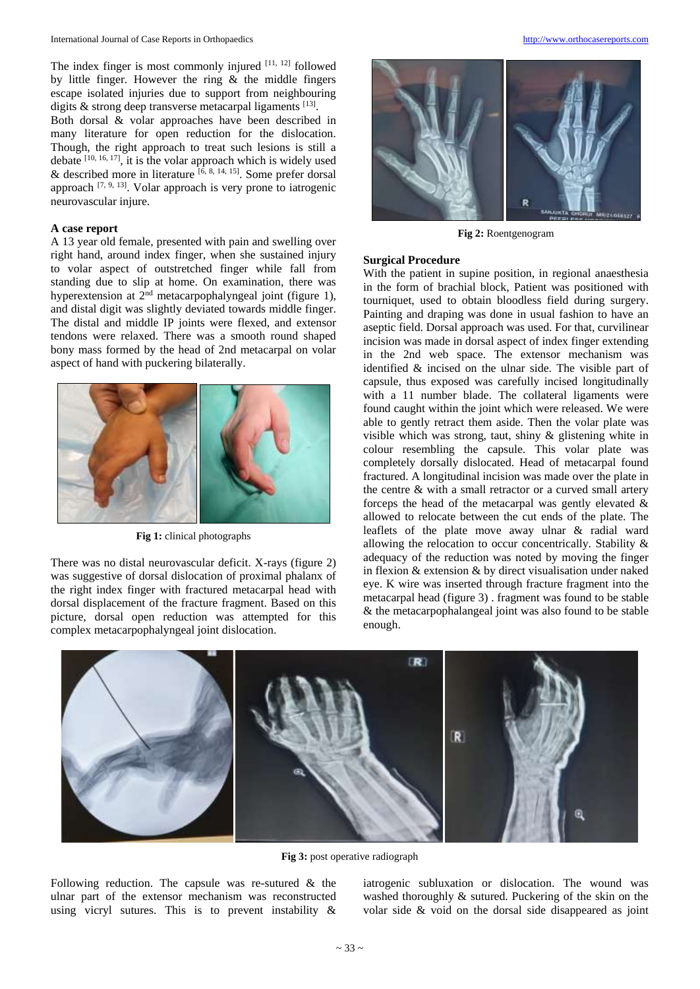The index finger is most commonly injured  $[11, 12]$  followed by little finger. However the ring & the middle fingers escape isolated injuries due to support from neighbouring digits  $\&$  strong deep transverse metacarpal ligaments  $^{[13]}$ .

Both dorsal & volar approaches have been described in many literature for open reduction for the dislocation. Though, the right approach to treat such lesions is still a debate  $[10, 16, 17]$ , it is the volar approach which is widely used & described more in literature  $[6, 8, 14, 15]$ . Some prefer dorsal approach  $[7, 9, 13]$ . Volar approach is very prone to iatrogenic neurovascular injure.

# **A case report**

A 13 year old female, presented with pain and swelling over right hand, around index finger, when she sustained injury to volar aspect of outstretched finger while fall from standing due to slip at home. On examination, there was hyperextension at  $2<sup>nd</sup>$  metacarpophalyngeal joint (figure 1), and distal digit was slightly deviated towards middle finger. The distal and middle IP joints were flexed, and extensor tendons were relaxed. There was a smooth round shaped bony mass formed by the head of 2nd metacarpal on volar aspect of hand with puckering bilaterally.



**Fig 1:** clinical photographs

There was no distal neurovascular deficit. X-rays (figure 2) was suggestive of dorsal dislocation of proximal phalanx of the right index finger with fractured metacarpal head with dorsal displacement of the fracture fragment. Based on this picture, dorsal open reduction was attempted for this complex metacarpophalyngeal joint dislocation.



**Fig 2:** Roentgenogram

#### **Surgical Procedure**

With the patient in supine position, in regional anaesthesia in the form of brachial block, Patient was positioned with tourniquet, used to obtain bloodless field during surgery. Painting and draping was done in usual fashion to have an aseptic field. Dorsal approach was used. For that, curvilinear incision was made in dorsal aspect of index finger extending in the 2nd web space. The extensor mechanism was identified & incised on the ulnar side. The visible part of capsule, thus exposed was carefully incised longitudinally with a 11 number blade. The collateral ligaments were found caught within the joint which were released. We were able to gently retract them aside. Then the volar plate was visible which was strong, taut, shiny & glistening white in colour resembling the capsule. This volar plate was completely dorsally dislocated. Head of metacarpal found fractured. A longitudinal incision was made over the plate in the centre & with a small retractor or a curved small artery forceps the head of the metacarpal was gently elevated  $\&$ allowed to relocate between the cut ends of the plate. The leaflets of the plate move away ulnar & radial ward allowing the relocation to occur concentrically. Stability & adequacy of the reduction was noted by moving the finger in flexion & extension & by direct visualisation under naked eye. K wire was inserted through fracture fragment into the metacarpal head (figure 3) . fragment was found to be stable & the metacarpophalangeal joint was also found to be stable enough.



**Fig 3:** post operative radiograph

Following reduction. The capsule was re-sutured  $\&$  the ulnar part of the extensor mechanism was reconstructed using vicryl sutures. This is to prevent instability &

iatrogenic subluxation or dislocation. The wound was washed thoroughly & sutured. Puckering of the skin on the volar side & void on the dorsal side disappeared as joint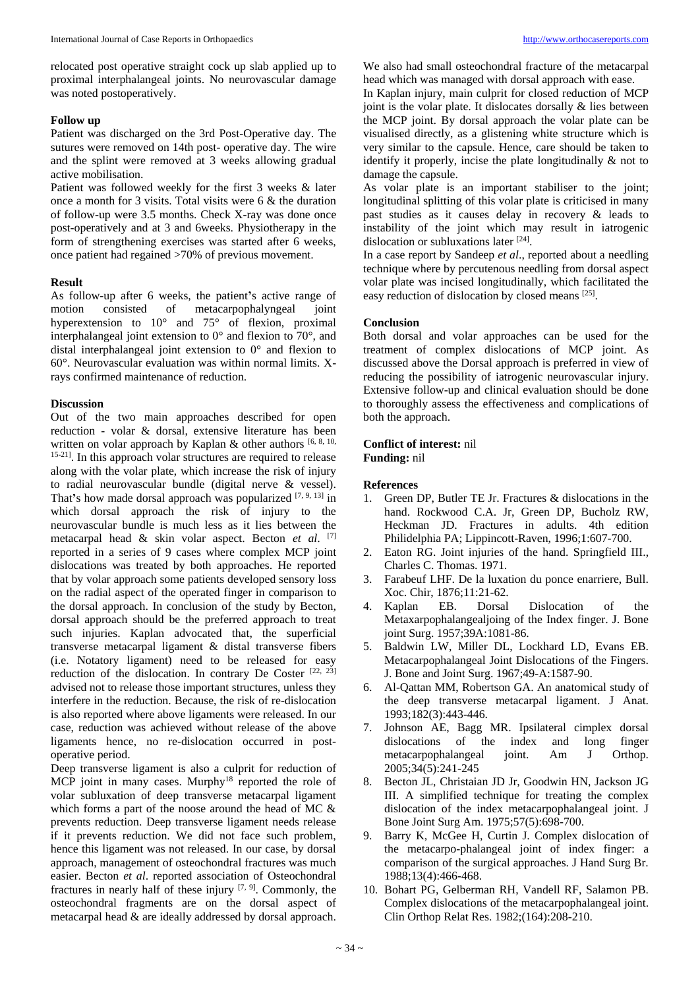relocated post operative straight cock up slab applied up to proximal interphalangeal joints. No neurovascular damage was noted postoperatively.

#### **Follow up**

Patient was discharged on the 3rd Post-Operative day. The sutures were removed on 14th post- operative day. The wire and the splint were removed at 3 weeks allowing gradual active mobilisation.

Patient was followed weekly for the first 3 weeks & later once a month for 3 visits. Total visits were 6 & the duration of follow-up were 3.5 months. Check X-ray was done once post-operatively and at 3 and 6weeks. Physiotherapy in the form of strengthening exercises was started after 6 weeks, once patient had regained >70% of previous movement.

#### **Result**

As follow-up after 6 weeks, the patient**'**s active range of motion consisted of metacarpophalyngeal joint hyperextension to 10° and 75° of flexion, proximal interphalangeal joint extension to 0° and flexion to 70°, and distal interphalangeal joint extension to 0° and flexion to 60°. Neurovascular evaluation was within normal limits. Xrays confirmed maintenance of reduction.

# **Discussion**

Out of the two main approaches described for open reduction - volar & dorsal, extensive literature has been written on volar approach by Kaplan & other authors  $[6, 8, 10, 10]$ <sup>15-21]</sup>. In this approach volar structures are required to release along with the volar plate, which increase the risk of injury to radial neurovascular bundle (digital nerve & vessel). That**'**s how made dorsal approach was popularized [7, 9, 13] in which dorsal approach the risk of injury to the neurovascular bundle is much less as it lies between the metacarpal head & skin volar aspect. Becton *et al*. [7] reported in a series of 9 cases where complex MCP joint dislocations was treated by both approaches. He reported that by volar approach some patients developed sensory loss on the radial aspect of the operated finger in comparison to the dorsal approach. In conclusion of the study by Becton, dorsal approach should be the preferred approach to treat such injuries. Kaplan advocated that, the superficial transverse metacarpal ligament & distal transverse fibers (i.e. Notatory ligament) need to be released for easy reduction of the dislocation. In contrary De Coster [22, 23] advised not to release those important structures, unless they interfere in the reduction. Because, the risk of re-dislocation is also reported where above ligaments were released. In our case, reduction was achieved without release of the above ligaments hence, no re-dislocation occurred in postoperative period.

Deep transverse ligament is also a culprit for reduction of MCP joint in many cases. Murphy<sup>18</sup> reported the role of volar subluxation of deep transverse metacarpal ligament which forms a part of the noose around the head of MC & prevents reduction. Deep transverse ligament needs release if it prevents reduction. We did not face such problem, hence this ligament was not released. In our case, by dorsal approach, management of osteochondral fractures was much easier. Becton *et al*. reported association of Osteochondral fractures in nearly half of these injury  $[7, 9]$ . Commonly, the osteochondral fragments are on the dorsal aspect of metacarpal head & are ideally addressed by dorsal approach.

We also had small osteochondral fracture of the metacarpal head which was managed with dorsal approach with ease. In Kaplan injury, main culprit for closed reduction of MCP joint is the volar plate. It dislocates dorsally  $\&$  lies between the MCP joint. By dorsal approach the volar plate can be visualised directly, as a glistening white structure which is very similar to the capsule. Hence, care should be taken to identify it properly, incise the plate longitudinally & not to damage the capsule.

As volar plate is an important stabiliser to the joint; longitudinal splitting of this volar plate is criticised in many past studies as it causes delay in recovery & leads to instability of the joint which may result in iatrogenic dislocation or subluxations later [24].

In a case report by Sandeep *et al*., reported about a needling technique where by percutenous needling from dorsal aspect volar plate was incised longitudinally, which facilitated the easy reduction of dislocation by closed means [25].

#### **Conclusion**

Both dorsal and volar approaches can be used for the treatment of complex dislocations of MCP joint. As discussed above the Dorsal approach is preferred in view of reducing the possibility of iatrogenic neurovascular injury. Extensive follow-up and clinical evaluation should be done to thoroughly assess the effectiveness and complications of both the approach.

#### **Conflict of interest:** nil **Funding:** nil

## **References**

- 1. Green DP, Butler TE Jr. Fractures & dislocations in the hand. Rockwood C.A. Jr, Green DP, Bucholz RW, Heckman JD. Fractures in adults. 4th edition Philidelphia PA; Lippincott-Raven, 1996;1:607-700.
- 2. Eaton RG. Joint injuries of the hand. Springfield III., Charles C. Thomas. 1971.
- 3. Farabeuf LHF. De la luxation du ponce enarriere, Bull. Xoc. Chir, 1876;11:21-62.
- 4. Kaplan EB. Dorsal Dislocation of the Metaxarpophalangealjoing of the Index finger. J. Bone joint Surg. 1957;39A:1081-86.
- 5. Baldwin LW, Miller DL, Lockhard LD, Evans EB. Metacarpophalangeal Joint Dislocations of the Fingers. J. Bone and Joint Surg. 1967;49-A:1587-90.
- 6. Al-Qattan MM, Robertson GA. An anatomical study of the deep transverse metacarpal ligament. J Anat. 1993;182(3):443-446.
- 7. Johnson AE, Bagg MR. Ipsilateral cimplex dorsal dislocations of the index and long finger metacarpophalangeal joint. Am J Orthop. 2005;34(5):241-245
- 8. Becton JL, Christaian JD Jr, Goodwin HN, Jackson JG III. A simplified technique for treating the complex dislocation of the index metacarpophalangeal joint. J Bone Joint Surg Am. 1975;57(5):698-700.
- 9. Barry K, McGee H, Curtin J. Complex dislocation of the metacarpo-phalangeal joint of index finger: a comparison of the surgical approaches. J Hand Surg Br. 1988;13(4):466-468.
- 10. Bohart PG, Gelberman RH, Vandell RF, Salamon PB. Complex dislocations of the metacarpophalangeal joint. Clin Orthop Relat Res. 1982;(164):208-210.